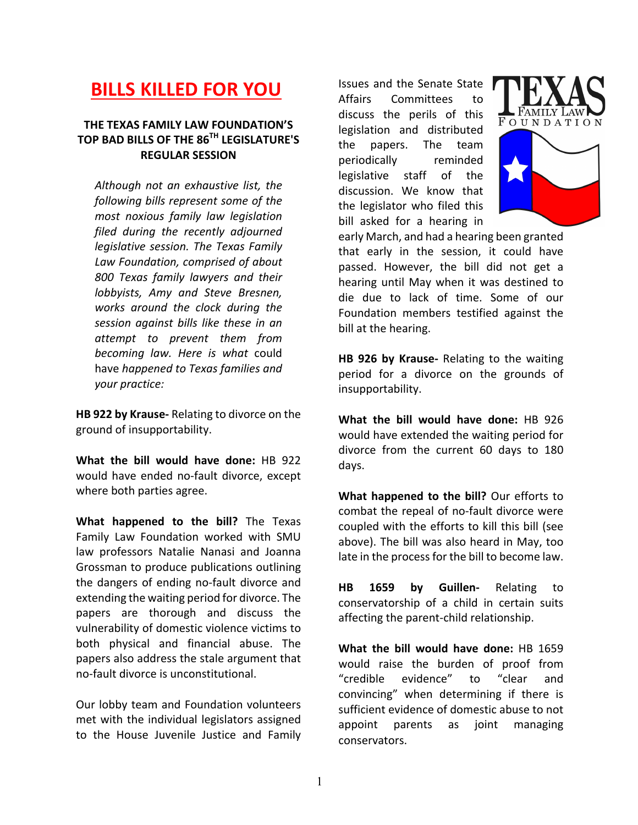## **BILLS KILLED FOR YOU**

## **THE TEXAS FAMILY LAW FOUNDATION'S TOP BAD BILLS OF THE 86TH LEGISLATURE'S REGULAR SESSION**

*Although not an exhaustive list, the*  following bills represent some of the *most noxious family law legislation filed during the recently adjourned legislative session. The Texas Family Law Foundation, comprised of about 800 Texas family lawyers and their lobbyists, Amy and Steve Bresnen, works around the clock during the session against bills like these in an attempt to prevent them from becoming law. Here is what*  could have *happened to Texas families and your practice:*

**HB 922 by Krause-** Relating to divorce on the ground of insupportability.

**What the bill would have done:** HB 922 would have ended no-fault divorce, except where both parties agree.

**What happened to the bill?** The Texas Family Law Foundation worked with SMU law professors Natalie Nanasi and Joanna Grossman to produce publications outlining the dangers of ending no-fault divorce and extending the waiting period for divorce. The papers are thorough and discuss the vulnerability of domestic violence victims to both physical and financial abuse. The papers also address the stale argument that no-fault divorce is unconstitutional. 

Our lobby team and Foundation volunteers met with the individual legislators assigned to the House Juvenile Justice and Family

Issues and the Senate State Affairs Committees to discuss the perils of this legislation and distributed the papers. The team periodically reminded legislative staff of the discussion. We know that the legislator who filed this bill asked for a hearing in





early March, and had a hearing been granted that early in the session, it could have passed. However, the bill did not get a hearing until May when it was destined to die due to lack of time. Some of our Foundation members testified against the bill at the hearing.

**HB 926 by Krause-** Relating to the waiting period for a divorce on the grounds of insupportability.

**What the bill would have done:** HB 926 would have extended the waiting period for divorce from the current 60 days to 180 days.

**What happened to the bill?** Our efforts to combat the repeal of no-fault divorce were coupled with the efforts to kill this bill (see above). The bill was also heard in May, too late in the process for the bill to become law.

**HB** 1659 by Guillen- Relating to conservatorship of a child in certain suits affecting the parent-child relationship.

**What the bill would have done:** HB 1659 would raise the burden of proof from "credible evidence" to "clear and convincing" when determining if there is sufficient evidence of domestic abuse to not appoint parents as joint managing conservators.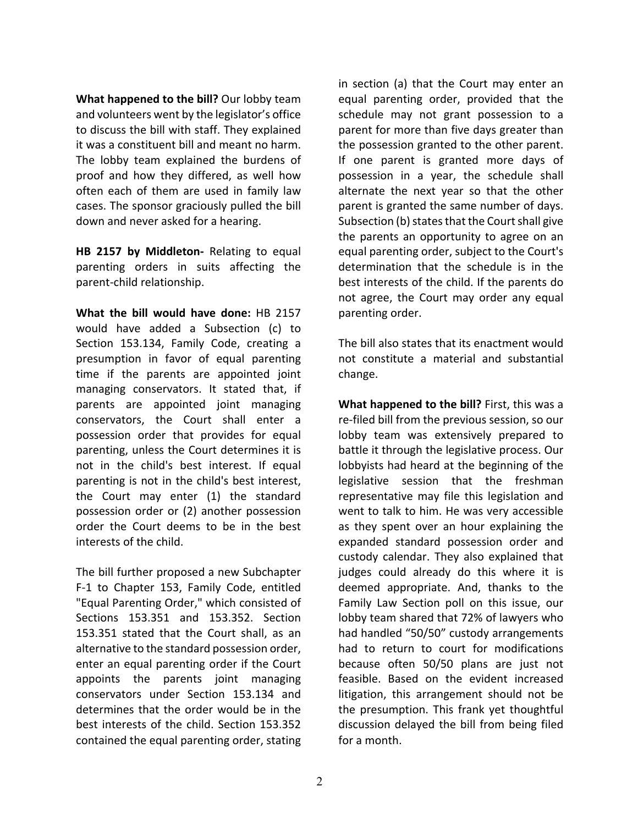**What happened to the bill?** Our lobby team and volunteers went by the legislator's office to discuss the bill with staff. They explained it was a constituent bill and meant no harm. The lobby team explained the burdens of proof and how they differed, as well how often each of them are used in family law cases. The sponsor graciously pulled the bill down and never asked for a hearing.

HB 2157 by Middleton- Relating to equal parenting orders in suits affecting the parent-child relationship.

**What the bill would have done:** HB 2157 would have added a Subsection (c) to Section 153.134, Family Code, creating a presumption in favor of equal parenting time if the parents are appointed joint managing conservators. It stated that, if parents are appointed joint managing conservators, the Court shall enter a possession order that provides for equal parenting, unless the Court determines it is not in the child's best interest. If equal parenting is not in the child's best interest, the Court may enter  $(1)$  the standard possession order or (2) another possession order the Court deems to be in the best interests of the child.

The bill further proposed a new Subchapter F-1 to Chapter 153, Family Code, entitled "Equal Parenting Order," which consisted of Sections 153.351 and 153.352. Section 153.351 stated that the Court shall, as an alternative to the standard possession order, enter an equal parenting order if the Court appoints the parents joint managing conservators under Section 153.134 and determines that the order would be in the best interests of the child. Section 153.352 contained the equal parenting order, stating in section (a) that the Court may enter an equal parenting order, provided that the schedule may not grant possession to a parent for more than five days greater than the possession granted to the other parent. If one parent is granted more days of possession in a year, the schedule shall alternate the next year so that the other parent is granted the same number of days. Subsection (b) states that the Court shall give the parents an opportunity to agree on an equal parenting order, subject to the Court's determination that the schedule is in the best interests of the child. If the parents do not agree, the Court may order any equal parenting order.

The bill also states that its enactment would not constitute a material and substantial change.

**What happened to the bill?** First, this was a re-filed bill from the previous session, so our lobby team was extensively prepared to battle it through the legislative process. Our lobbyists had heard at the beginning of the legislative session that the freshman representative may file this legislation and went to talk to him. He was very accessible as they spent over an hour explaining the expanded standard possession order and custody calendar. They also explained that judges could already do this where it is deemed appropriate. And, thanks to the Family Law Section poll on this issue, our lobby team shared that 72% of lawyers who had handled "50/50" custody arrangements had to return to court for modifications because often 50/50 plans are just not feasible. Based on the evident increased litigation, this arrangement should not be the presumption. This frank yet thoughtful discussion delayed the bill from being filed for a month.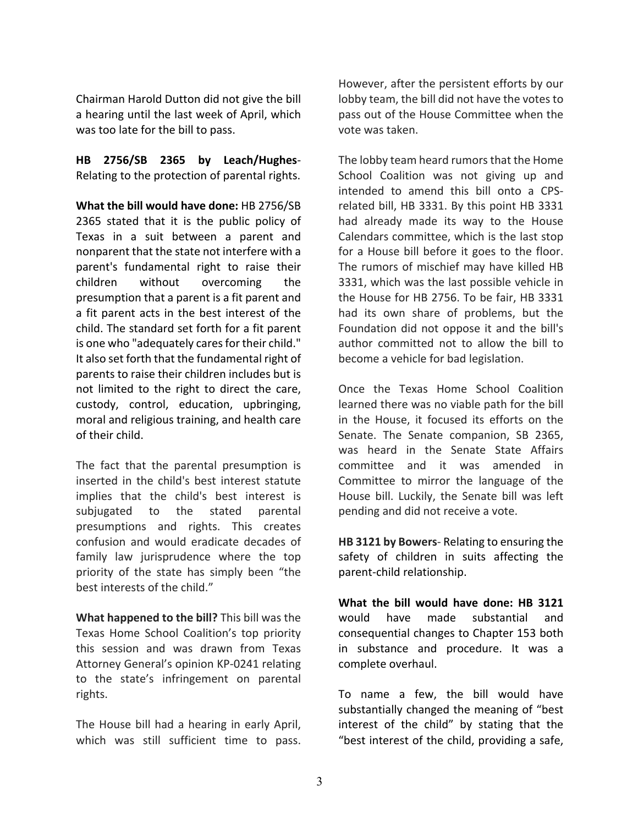Chairman Harold Dutton did not give the bill a hearing until the last week of April, which was too late for the bill to pass.

**HB 2756/SB 2365 by Leach/Hughes**-Relating to the protection of parental rights.

**What the bill would have done:** HB 2756/SB 2365 stated that it is the public policy of Texas in a suit between a parent and nonparent that the state not interfere with a parent's fundamental right to raise their children without overcoming the presumption that a parent is a fit parent and a fit parent acts in the best interest of the child. The standard set forth for a fit parent is one who "adequately cares for their child." It also set forth that the fundamental right of parents to raise their children includes but is not limited to the right to direct the care, custody, control, education, upbringing, moral and religious training, and health care of their child.

The fact that the parental presumption is inserted in the child's best interest statute implies that the child's best interest is subjugated to the stated parental presumptions and rights. This creates confusion and would eradicate decades of family law jurisprudence where the top priority of the state has simply been "the best interests of the child."

**What happened to the bill?** This bill was the Texas Home School Coalition's top priority this session and was drawn from Texas Attorney General's opinion KP-0241 relating to the state's infringement on parental rights.

The House bill had a hearing in early April, which was still sufficient time to pass.

However, after the persistent efforts by our lobby team, the bill did not have the votes to pass out of the House Committee when the vote was taken.

The lobby team heard rumors that the Home School Coalition was not giving up and intended to amend this bill onto a CPSrelated bill, HB 3331. By this point HB 3331 had already made its way to the House Calendars committee, which is the last stop for a House bill before it goes to the floor. The rumors of mischief may have killed HB 3331, which was the last possible vehicle in the House for HB 2756. To be fair, HB 3331 had its own share of problems, but the Foundation did not oppose it and the bill's author committed not to allow the bill to become a vehicle for bad legislation.

Once the Texas Home School Coalition learned there was no viable path for the bill in the House, it focused its efforts on the Senate. The Senate companion, SB 2365, was heard in the Senate State Affairs committee and it was amended in Committee to mirror the language of the House bill. Luckily, the Senate bill was left pending and did not receive a vote.

**HB 3121 by Bowers- Relating to ensuring the** safety of children in suits affecting the parent-child relationship.

**What the bill would have done: HB 3121** would have made substantial and consequential changes to Chapter 153 both in substance and procedure. It was a complete overhaul.

To name a few, the bill would have substantially changed the meaning of "best" interest of the child" by stating that the "best interest of the child, providing a safe,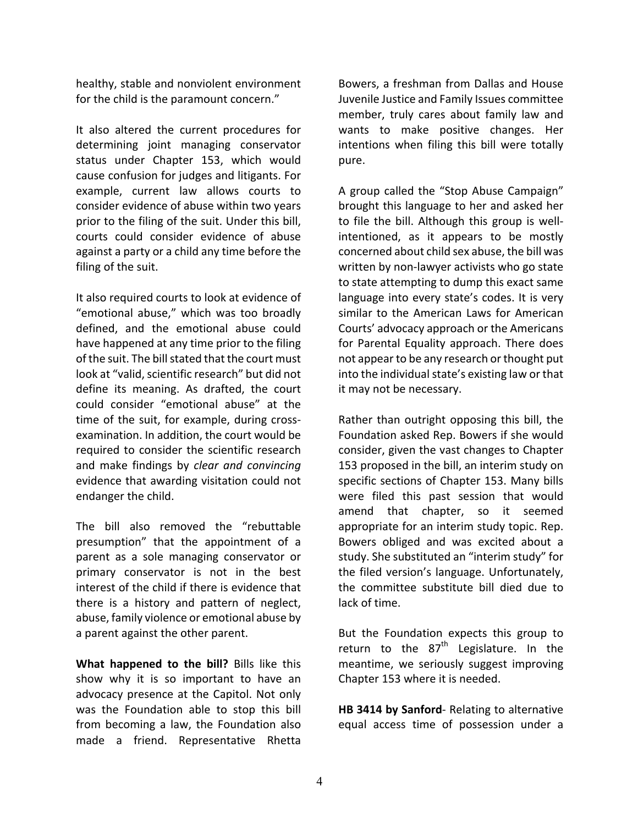healthy, stable and nonviolent environment for the child is the paramount concern."

It also altered the current procedures for determining joint managing conservator status under Chapter 153, which would cause confusion for judges and litigants. For example, current law allows courts to consider evidence of abuse within two years prior to the filing of the suit. Under this bill, courts could consider evidence of abuse against a party or a child any time before the filing of the suit.

It also required courts to look at evidence of "emotional abuse," which was too broadly defined, and the emotional abuse could have happened at any time prior to the filing of the suit. The bill stated that the court must look at "valid, scientific research" but did not define its meaning. As drafted, the court could consider "emotional abuse" at the time of the suit, for example, during crossexamination. In addition, the court would be required to consider the scientific research and make findings by *clear and convincing* evidence that awarding visitation could not endanger the child.

The bill also removed the "rebuttable presumption" that the appointment of a parent as a sole managing conservator or primary conservator is not in the best interest of the child if there is evidence that there is a history and pattern of neglect, abuse, family violence or emotional abuse by a parent against the other parent.

**What happened to the bill?** Bills like this show why it is so important to have an advocacy presence at the Capitol. Not only was the Foundation able to stop this bill from becoming a law, the Foundation also made a friend. Representative Rhetta Bowers, a freshman from Dallas and House Juvenile Justice and Family Issues committee member, truly cares about family law and wants to make positive changes. Her intentions when filing this bill were totally pure.

A group called the "Stop Abuse Campaign" brought this language to her and asked her to file the bill. Although this group is wellintentioned, as it appears to be mostly concerned about child sex abuse, the bill was written by non-lawyer activists who go state to state attempting to dump this exact same language into every state's codes. It is very similar to the American Laws for American Courts' advocacy approach or the Americans for Parental Equality approach. There does not appear to be any research or thought put into the individual state's existing law or that it may not be necessary.

Rather than outright opposing this bill, the Foundation asked Rep. Bowers if she would consider, given the vast changes to Chapter 153 proposed in the bill, an interim study on specific sections of Chapter 153. Many bills were filed this past session that would amend that chapter, so it seemed appropriate for an interim study topic. Rep. Bowers obliged and was excited about a study. She substituted an "interim study" for the filed version's language. Unfortunately, the committee substitute bill died due to lack of time.

But the Foundation expects this group to return to the  $87<sup>th</sup>$  Legislature. In the meantime, we seriously suggest improving Chapter 153 where it is needed.

**HB 3414 by Sanford- Relating to alternative** equal access time of possession under a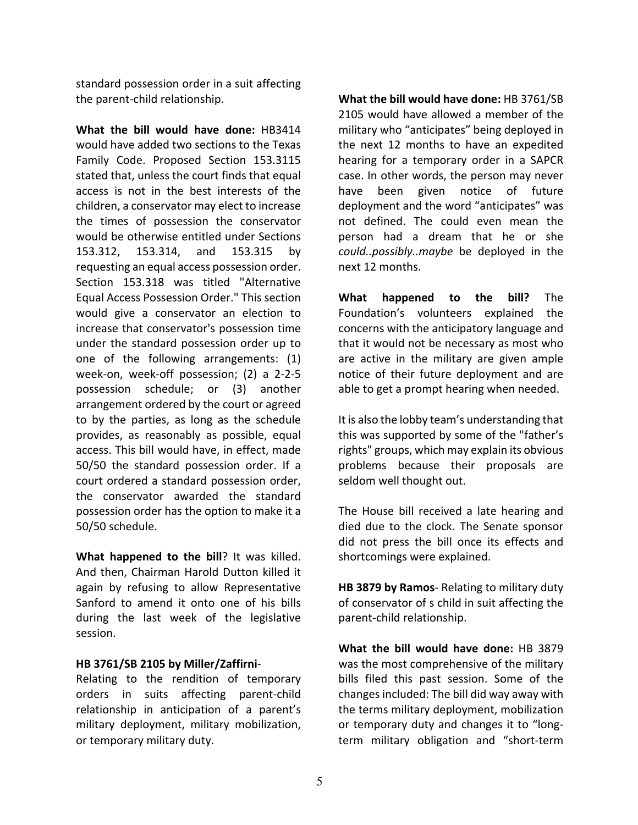standard possession order in a suit affecting the parent-child relationship.

**What the bill would have done:** HB3414 would have added two sections to the Texas Family Code. Proposed Section 153.3115 stated that, unless the court finds that equal access is not in the best interests of the children, a conservator may elect to increase the times of possession the conservator would be otherwise entitled under Sections 153.312, 153.314, and 153.315 by requesting an equal access possession order. Section 153.318 was titled "Alternative Equal Access Possession Order." This section would give a conservator an election to increase that conservator's possession time under the standard possession order up to one of the following arrangements: (1) week-on, week-off possession; (2) a 2-2-5 possession schedule; or (3) another arrangement ordered by the court or agreed to by the parties, as long as the schedule provides, as reasonably as possible, equal access. This bill would have, in effect, made 50/50 the standard possession order. If a court ordered a standard possession order, the conservator awarded the standard possession order has the option to make it a 50/50 schedule.

**What happened to the bill**? It was killed. And then, Chairman Harold Dutton killed it again by refusing to allow Representative Sanford to amend it onto one of his bills during the last week of the legislative session. 

## **HB 3761/SB 2105 by Miller/Zaffirni**-

Relating to the rendition of temporary orders in suits affecting parent-child relationship in anticipation of a parent's military deployment, military mobilization, or temporary military duty.

**What the bill would have done:** HB 3761/SB 2105 would have allowed a member of the military who "anticipates" being deployed in the next 12 months to have an expedited hearing for a temporary order in a SAPCR case. In other words, the person may never have been given notice of future deployment and the word "anticipates" was not defined. The could even mean the person had a dream that he or she could..possibly..maybe be deployed in the next 12 months. 

**What** happened to the bill? The Foundation's volunteers explained the concerns with the anticipatory language and that it would not be necessary as most who are active in the military are given ample notice of their future deployment and are able to get a prompt hearing when needed.

It is also the lobby team's understanding that this was supported by some of the "father's rights" groups, which may explain its obvious problems because their proposals are seldom well thought out.

The House bill received a late hearing and died due to the clock. The Senate sponsor did not press the bill once its effects and shortcomings were explained.

**HB 3879 by Ramos- Relating to military duty** of conservator of s child in suit affecting the parent-child relationship.

**What the bill would have done:** HB 3879 was the most comprehensive of the military bills filed this past session. Some of the changes included: The bill did way away with the terms military deployment, mobilization or temporary duty and changes it to "longterm military obligation and "short-term